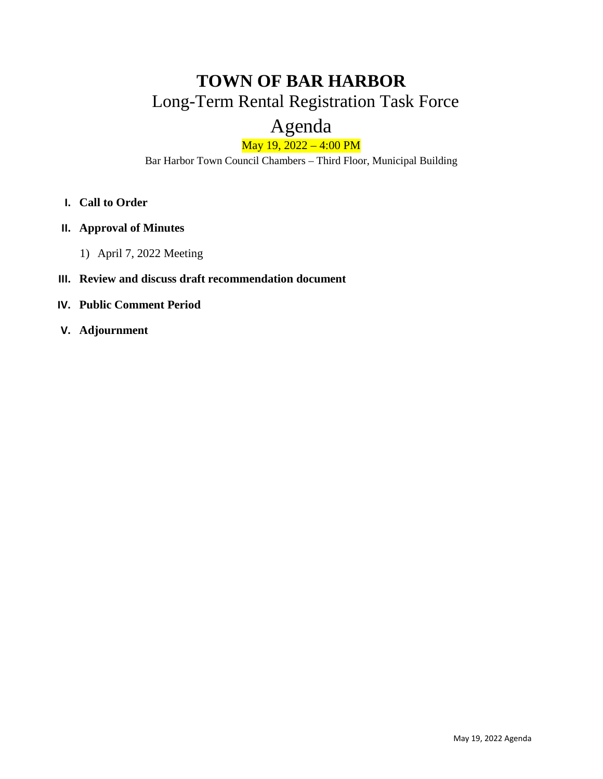# **TOWN OF BAR HARBOR** Long-Term Rental Registration Task Force

# Agenda

### May 19, 2022 – 4:00 PM

Bar Harbor Town Council Chambers – Third Floor, Municipal Building

- **I. Call to Order**
- **II. Approval of Minutes**
	- 1) April 7, 2022 Meeting

#### **III. Review and discuss draft recommendation document**

- **IV. Public Comment Period**
- **V. Adjournment**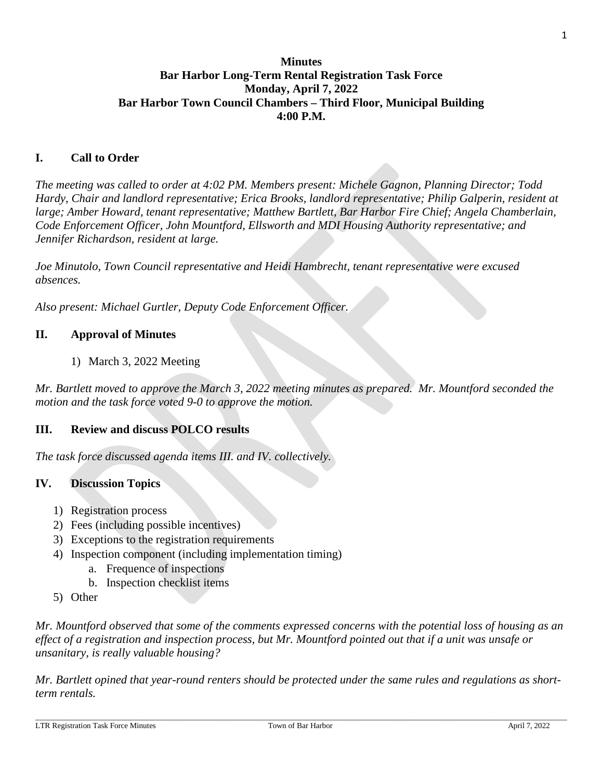#### **Minutes Bar Harbor Long-Term Rental Registration Task Force Monday, April 7, 2022 Bar Harbor Town Council Chambers – Third Floor, Municipal Building 4:00 P.M.**

#### **I. Call to Order**

*The meeting was called to order at 4:02 PM. Members present: Michele Gagnon, Planning Director; Todd Hardy, Chair and landlord representative; Erica Brooks, landlord representative; Philip Galperin, resident at large; Amber Howard, tenant representative; Matthew Bartlett, Bar Harbor Fire Chief; Angela Chamberlain, Code Enforcement Officer, John Mountford, Ellsworth and MDI Housing Authority representative; and Jennifer Richardson, resident at large.*

*Joe Minutolo, Town Council representative and Heidi Hambrecht, tenant representative were excused absences.*

*Also present: Michael Gurtler, Deputy Code Enforcement Officer.*

#### **II. Approval of Minutes**

1) March 3, 2022 Meeting

*Mr. Bartlett moved to approve the March 3, 2022 meeting minutes as prepared. Mr. Mountford seconded the motion and the task force voted 9-0 to approve the motion.*

#### **III. Review and discuss POLCO results**

*The task force discussed agenda items III. and IV. collectively.*

#### **IV. Discussion Topics**

- 1) Registration process
- 2) Fees (including possible incentives)
- 3) Exceptions to the registration requirements
- 4) Inspection component (including implementation timing)
	- a. Frequence of inspections
	- b. Inspection checklist items
- 5) Other

*Mr. Mountford observed that some of the comments expressed concerns with the potential loss of housing as an effect of a registration and inspection process, but Mr. Mountford pointed out that if a unit was unsafe or unsanitary, is really valuable housing?* 

*Mr. Bartlett opined that year-round renters should be protected under the same rules and regulations as shortterm rentals.*

1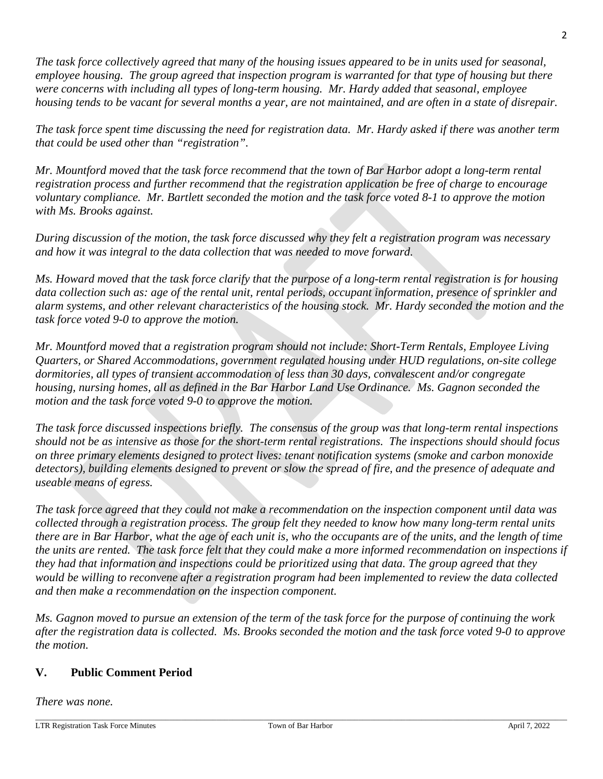*The task force collectively agreed that many of the housing issues appeared to be in units used for seasonal, employee housing. The group agreed that inspection program is warranted for that type of housing but there were concerns with including all types of long-term housing. Mr. Hardy added that seasonal, employee housing tends to be vacant for several months a year, are not maintained, and are often in a state of disrepair.* 

*The task force spent time discussing the need for registration data. Mr. Hardy asked if there was another term that could be used other than "registration".*

*Mr. Mountford moved that the task force recommend that the town of Bar Harbor adopt a long-term rental registration process and further recommend that the registration application be free of charge to encourage voluntary compliance. Mr. Bartlett seconded the motion and the task force voted 8-1 to approve the motion with Ms. Brooks against.* 

*During discussion of the motion, the task force discussed why they felt a registration program was necessary and how it was integral to the data collection that was needed to move forward.* 

*Ms. Howard moved that the task force clarify that the purpose of a long-term rental registration is for housing data collection such as: age of the rental unit, rental periods, occupant information, presence of sprinkler and alarm systems, and other relevant characteristics of the housing stock. Mr. Hardy seconded the motion and the task force voted 9-0 to approve the motion.* 

*Mr. Mountford moved that a registration program should not include: Short-Term Rentals, Employee Living Quarters, or Shared Accommodations, government regulated housing under HUD regulations, on-site college dormitories, all types of transient accommodation of less than 30 days, convalescent and/or congregate housing, nursing homes, all as defined in the Bar Harbor Land Use Ordinance. Ms. Gagnon seconded the motion and the task force voted 9-0 to approve the motion.*

*The task force discussed inspections briefly. The consensus of the group was that long-term rental inspections should not be as intensive as those for the short-term rental registrations. The inspections should should focus on three primary elements designed to protect lives: tenant notification systems (smoke and carbon monoxide detectors), building elements designed to prevent or slow the spread of fire, and the presence of adequate and useable means of egress.* 

*The task force agreed that they could not make a recommendation on the inspection component until data was collected through a registration process. The group felt they needed to know how many long-term rental units there are in Bar Harbor, what the age of each unit is, who the occupants are of the units, and the length of time the units are rented. The task force felt that they could make a more informed recommendation on inspections if they had that information and inspections could be prioritized using that data. The group agreed that they would be willing to reconvene after a registration program had been implemented to review the data collected and then make a recommendation on the inspection component.* 

*Ms. Gagnon moved to pursue an extension of the term of the task force for the purpose of continuing the work after the registration data is collected. Ms. Brooks seconded the motion and the task force voted 9-0 to approve the motion.*

#### **V. Public Comment Period**

*There was none.*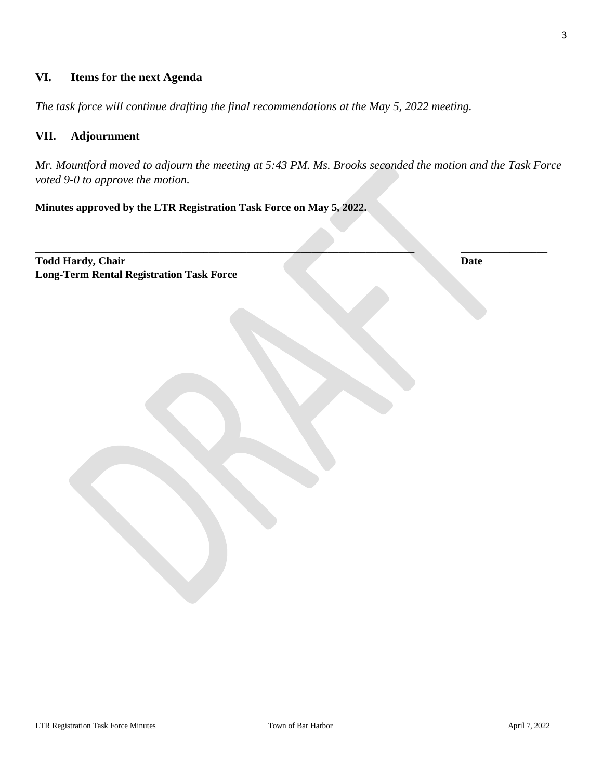#### **VI. Items for the next Agenda**

*The task force will continue drafting the final recommendations at the May 5, 2022 meeting.*

#### **VII. Adjournment**

*Mr. Mountford moved to adjourn the meeting at 5:43 PM. Ms. Brooks seconded the motion and the Task Force voted 9-0 to approve the motion.*

**\_\_\_\_\_\_\_\_\_\_\_\_\_\_\_\_\_\_\_\_\_\_\_\_\_\_\_\_\_\_\_\_\_\_\_\_\_\_\_\_\_\_\_\_\_\_\_\_\_\_\_\_\_\_\_\_\_\_\_\_\_\_\_\_\_\_\_\_\_\_ \_\_\_\_\_\_\_\_\_\_\_\_\_\_\_\_**

#### **Minutes approved by the LTR Registration Task Force on May 5, 2022.**

**Todd Hardy, Chair Date Long-Term Rental Registration Task Force**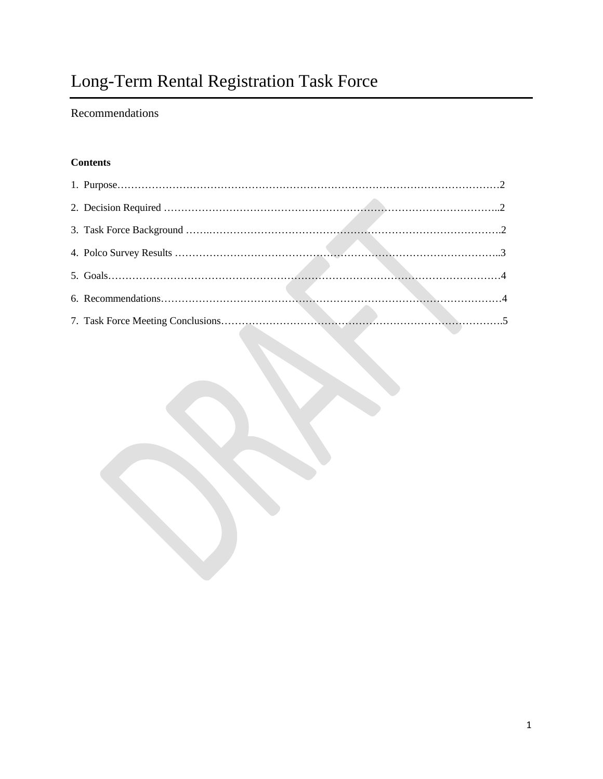# Long-Term Rental Registration Task Force

### Recommendations

#### **Contents**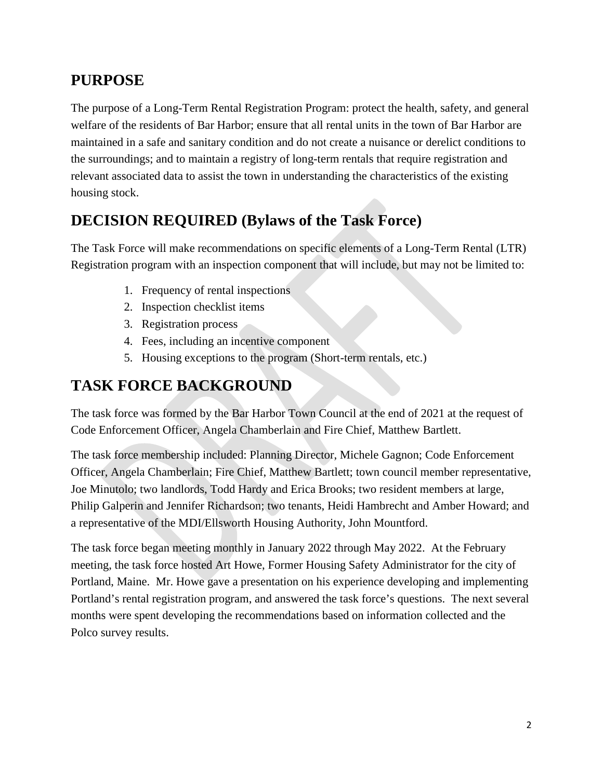### **PURPOSE**

The purpose of a Long-Term Rental Registration Program: protect the health, safety, and general welfare of the residents of Bar Harbor; ensure that all rental units in the town of Bar Harbor are maintained in a safe and sanitary condition and do not create a nuisance or derelict conditions to the surroundings; and to maintain a registry of long-term rentals that require registration and relevant associated data to assist the town in understanding the characteristics of the existing housing stock.

## **DECISION REQUIRED (Bylaws of the Task Force)**

The Task Force will make recommendations on specific elements of a Long-Term Rental (LTR) Registration program with an inspection component that will include, but may not be limited to:

- 1. Frequency of rental inspections
- 2. Inspection checklist items
- 3. Registration process
- 4. Fees, including an incentive component
- 5. Housing exceptions to the program (Short-term rentals, etc.)

# **TASK FORCE BACKGROUND**

The task force was formed by the Bar Harbor Town Council at the end of 2021 at the request of Code Enforcement Officer, Angela Chamberlain and Fire Chief, Matthew Bartlett.

The task force membership included: Planning Director, Michele Gagnon; Code Enforcement Officer, Angela Chamberlain; Fire Chief, Matthew Bartlett; town council member representative, Joe Minutolo; two landlords, Todd Hardy and Erica Brooks; two resident members at large, Philip Galperin and Jennifer Richardson; two tenants, Heidi Hambrecht and Amber Howard; and a representative of the MDI/Ellsworth Housing Authority, John Mountford.

The task force began meeting monthly in January 2022 through May 2022. At the February meeting, the task force hosted Art Howe, Former Housing Safety Administrator for the city of Portland, Maine. Mr. Howe gave a presentation on his experience developing and implementing Portland's rental registration program, and answered the task force's questions. The next several months were spent developing the recommendations based on information collected and the Polco survey results.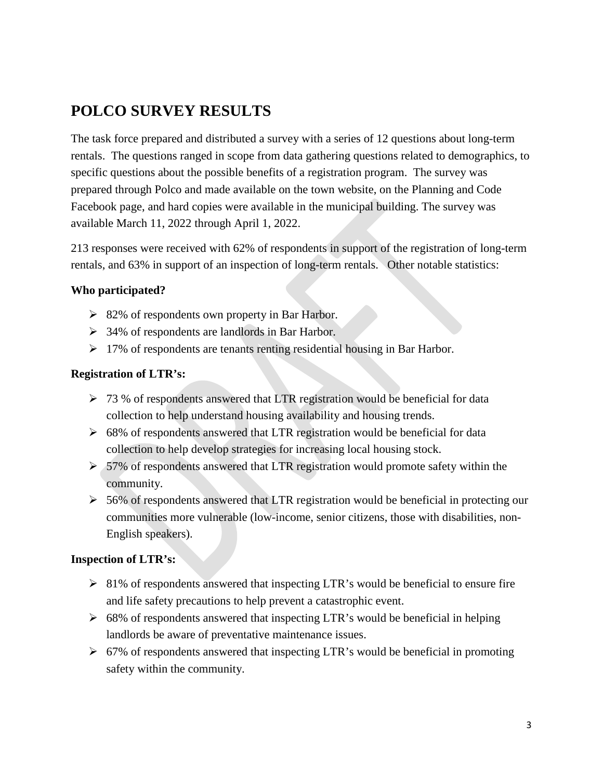## **POLCO SURVEY RESULTS**

The task force prepared and distributed a survey with a series of 12 questions about long-term rentals. The questions ranged in scope from data gathering questions related to demographics, to specific questions about the possible benefits of a registration program. The survey was prepared through Polco and made available on the town website, on the Planning and Code Facebook page, and hard copies were available in the municipal building. The survey was available March 11, 2022 through April 1, 2022.

213 responses were received with 62% of respondents in support of the registration of long-term rentals, and 63% in support of an inspection of long-term rentals. Other notable statistics:

#### **Who participated?**

- $\geq 82\%$  of respondents own property in Bar Harbor.
- $\geq$  34% of respondents are landlords in Bar Harbor.
- $\geq 17\%$  of respondents are tenants renting residential housing in Bar Harbor.

#### **Registration of LTR's:**

- $\geq 73$  % of respondents answered that LTR registration would be beneficial for data collection to help understand housing availability and housing trends.
- $\geq 68\%$  of respondents answered that LTR registration would be beneficial for data collection to help develop strategies for increasing local housing stock.
- $> 57\%$  of respondents answered that LTR registration would promote safety within the community.
- > 56% of respondents answered that LTR registration would be beneficial in protecting our communities more vulnerable (low-income, senior citizens, those with disabilities, non-English speakers).

#### **Inspection of LTR's:**

- $\geq$  81% of respondents answered that inspecting LTR's would be beneficial to ensure fire and life safety precautions to help prevent a catastrophic event.
- $\geq 68\%$  of respondents answered that inspecting LTR's would be beneficial in helping landlords be aware of preventative maintenance issues.
- $\geq 67\%$  of respondents answered that inspecting LTR's would be beneficial in promoting safety within the community.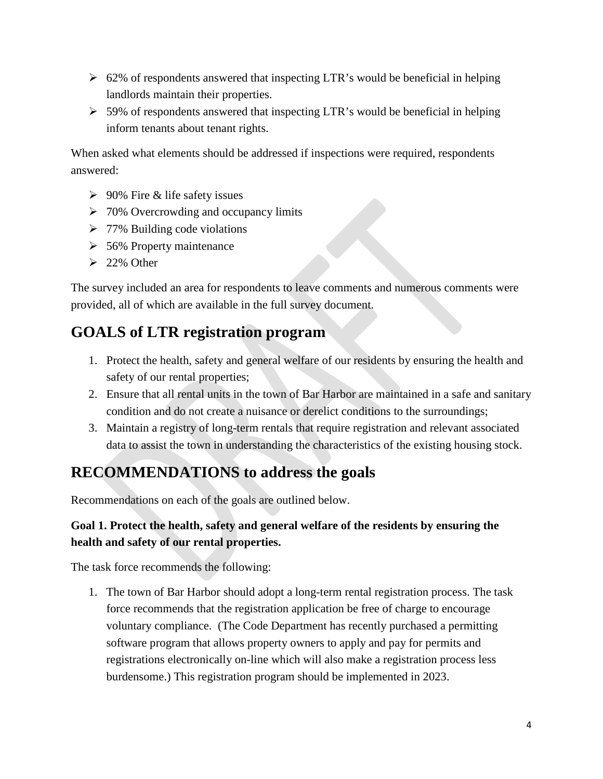- $\geq 62\%$  of respondents answered that inspecting LTR's would be beneficial in helping landlords maintain their properties.
- $>$  59% of respondents answered that inspecting LTR's would be beneficial in helping inform tenants about tenant rights.

When asked what elements should be addressed if inspections were required, respondents answered:

- $\geq 90\%$  Fire & life safety issues
- $\geq 70\%$  Overcrowding and occupancy limits
- $\triangleright$  77% Building code violations
- $\geq$  56% Property maintenance
- $\geq$  22% Other

The survey included an area for respondents to leave comments and numerous comments were provided, all of which are available in the full survey document.

### **GOALS of LTR registration program**

- 1. Protect the health, safety and general welfare of our residents by ensuring the health and safety of our rental properties;
- 2. Ensure that all rental units in the town of Bar Harbor are maintained in a safe and sanitary condition and do not create a nuisance or derelict conditions to the surroundings;
- 3. Maintain a registry of long-term rentals that require registration and relevant associated data to assist the town in understanding the characteristics of the existing housing stock.

## **RECOMMENDATIONS to address the goals**

Recommendations on each of the goals are outlined below.

### **Goal 1. Protect the health, safety and general welfare of the residents by ensuring the health and safety of our rental properties.**

The task force recommends the following:

1. The town of Bar Harbor should adopt a long-term rental registration process. The task force recommends that the registration application be free of charge to encourage voluntary compliance. (The Code Department has recently purchased a permitting software program that allows property owners to apply and pay for permits and registrations electronically on-line which will also make a registration process less burdensome.) This registration program should be implemented in 2023.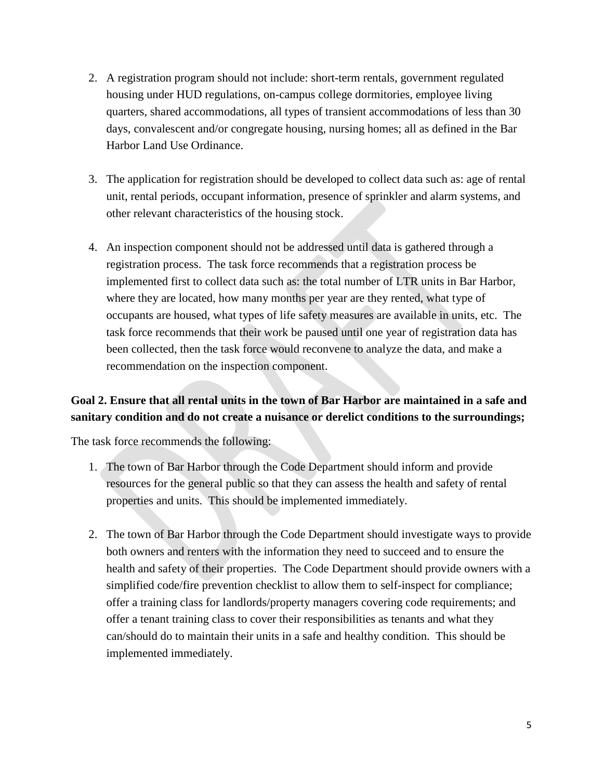- 2. A registration program should not include: short-term rentals, government regulated housing under HUD regulations, on-campus college dormitories, employee living quarters, shared accommodations, all types of transient accommodations of less than 30 days, convalescent and/or congregate housing, nursing homes; all as defined in the Bar Harbor Land Use Ordinance.
- 3. The application for registration should be developed to collect data such as: age of rental unit, rental periods, occupant information, presence of sprinkler and alarm systems, and other relevant characteristics of the housing stock.
- 4. An inspection component should not be addressed until data is gathered through a registration process. The task force recommends that a registration process be implemented first to collect data such as: the total number of LTR units in Bar Harbor, where they are located, how many months per year are they rented, what type of occupants are housed, what types of life safety measures are available in units, etc. The task force recommends that their work be paused until one year of registration data has been collected, then the task force would reconvene to analyze the data, and make a recommendation on the inspection component.

### **Goal 2. Ensure that all rental units in the town of Bar Harbor are maintained in a safe and sanitary condition and do not create a nuisance or derelict conditions to the surroundings;**

The task force recommends the following:

- 1. The town of Bar Harbor through the Code Department should inform and provide resources for the general public so that they can assess the health and safety of rental properties and units. This should be implemented immediately.
- 2. The town of Bar Harbor through the Code Department should investigate ways to provide both owners and renters with the information they need to succeed and to ensure the health and safety of their properties. The Code Department should provide owners with a simplified code/fire prevention checklist to allow them to self-inspect for compliance; offer a training class for landlords/property managers covering code requirements; and offer a tenant training class to cover their responsibilities as tenants and what they can/should do to maintain their units in a safe and healthy condition. This should be implemented immediately.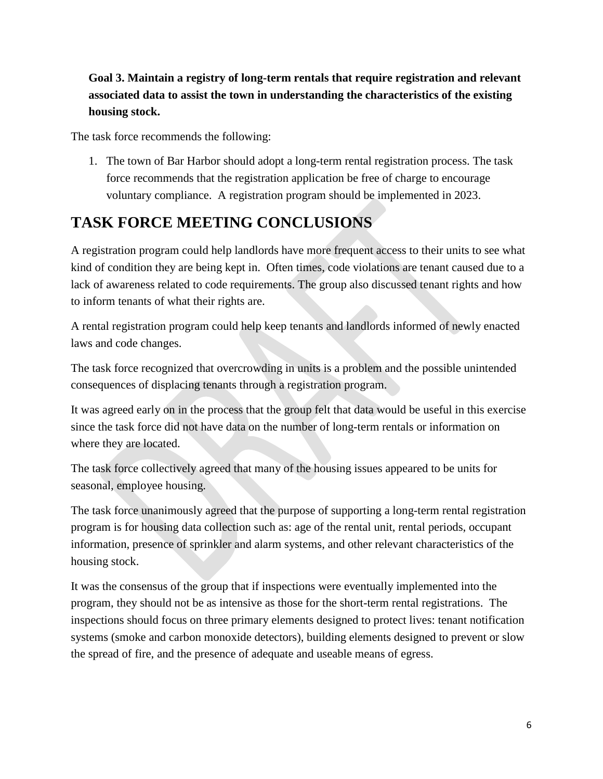### **Goal 3. Maintain a registry of long-term rentals that require registration and relevant associated data to assist the town in understanding the characteristics of the existing housing stock.**

The task force recommends the following:

1. The town of Bar Harbor should adopt a long-term rental registration process. The task force recommends that the registration application be free of charge to encourage voluntary compliance. A registration program should be implemented in 2023.

# **TASK FORCE MEETING CONCLUSIONS**

A registration program could help landlords have more frequent access to their units to see what kind of condition they are being kept in. Often times, code violations are tenant caused due to a lack of awareness related to code requirements. The group also discussed tenant rights and how to inform tenants of what their rights are.

A rental registration program could help keep tenants and landlords informed of newly enacted laws and code changes.

The task force recognized that overcrowding in units is a problem and the possible unintended consequences of displacing tenants through a registration program.

It was agreed early on in the process that the group felt that data would be useful in this exercise since the task force did not have data on the number of long-term rentals or information on where they are located.

The task force collectively agreed that many of the housing issues appeared to be units for seasonal, employee housing.

The task force unanimously agreed that the purpose of supporting a long-term rental registration program is for housing data collection such as: age of the rental unit, rental periods, occupant information, presence of sprinkler and alarm systems, and other relevant characteristics of the housing stock.

It was the consensus of the group that if inspections were eventually implemented into the program, they should not be as intensive as those for the short-term rental registrations. The inspections should focus on three primary elements designed to protect lives: tenant notification systems (smoke and carbon monoxide detectors), building elements designed to prevent or slow the spread of fire, and the presence of adequate and useable means of egress.